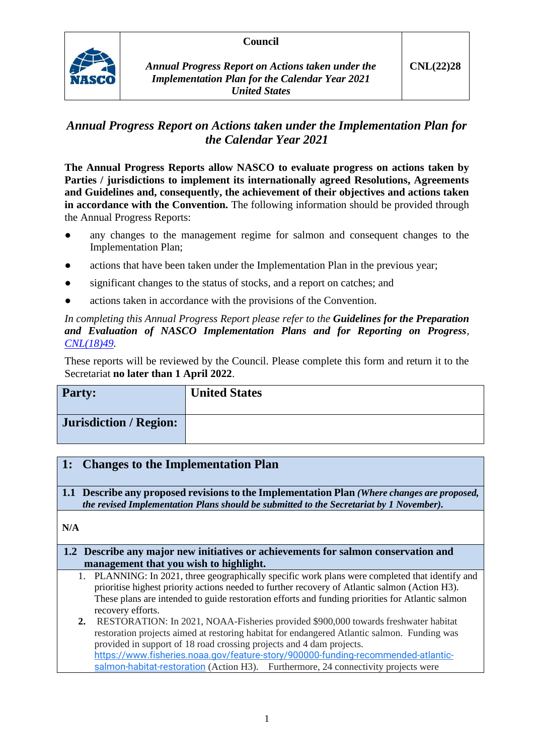### **Council**



# *Annual Progress Report on Actions taken under the Implementation Plan for the Calendar Year 2021*

**The Annual Progress Reports allow NASCO to evaluate progress on actions taken by Parties / jurisdictions to implement its internationally agreed Resolutions, Agreements and Guidelines and, consequently, the achievement of their objectives and actions taken in accordance with the Convention.** The following information should be provided through the Annual Progress Reports:

- any changes to the management regime for salmon and consequent changes to the Implementation Plan;
- actions that have been taken under the Implementation Plan in the previous year;
- significant changes to the status of stocks, and a report on catches; and
- actions taken in accordance with the provisions of the Convention.

*In completing this Annual Progress Report please refer to the Guidelines for the Preparation and Evaluation of NASCO Implementation Plans and for Reporting on Progress, [CNL\(18\)49.](https://nasco.int/wp-content/uploads/2020/02/CNL1849_Guidelines-for-the-Preparation-and-Evaluation-of-NASCO-Implementation-Plans-and-for-Reporting-on-Progress.pdf)*

These reports will be reviewed by the Council. Please complete this form and return it to the Secretariat **no later than 1 April 2022**.

| <b>Party:</b>                 | <b>United States</b> |
|-------------------------------|----------------------|
| <b>Jurisdiction / Region:</b> |                      |

# **1: Changes to the Implementation Plan**

**1.1 Describe any proposed revisions to the Implementation Plan** *(Where changes are proposed, the revised Implementation Plans should be submitted to the Secretariat by 1 November).*

**N/A**

#### **1.2 Describe any major new initiatives or achievements for salmon conservation and management that you wish to highlight.**

1. PLANNING: In 2021, three geographically specific work plans were completed that identify and prioritise highest priority actions needed to further recovery of Atlantic salmon (Action H3). These plans are intended to guide restoration efforts and funding priorities for Atlantic salmon recovery efforts.

**2.** RESTORATION: In 2021, NOAA-Fisheries provided \$900,000 towards freshwater habitat restoration projects aimed at restoring habitat for endangered Atlantic salmon. Funding was provided in support of 18 road crossing projects and 4 dam projects. [https://www.fisheries.noaa.gov/feature-story/900000-funding-recommended-atlantic](https://www.fisheries.noaa.gov/feature-story/900000-funding-recommended-atlantic-salmon-habitat-restoration)[salmon-habitat-restoration](https://www.fisheries.noaa.gov/feature-story/900000-funding-recommended-atlantic-salmon-habitat-restoration) (Action H3). Furthermore, 24 connectivity projects were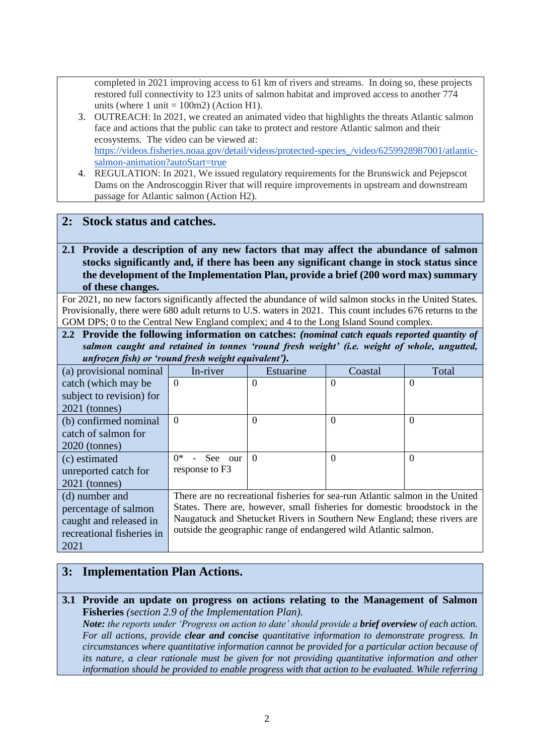completed in 2021 improving access to 61 km of rivers and streams. In doing so, these projects restored full connectivity to 123 units of salmon habitat and improved access to another 774 units (where 1 unit  $= 100$ m2) (Action H1).

- 3. OUTREACH: In 2021, we created an animated video that highlights the threats Atlantic salmon face and actions that the public can take to protect and restore Atlantic salmon and their ecosystems. The video can be viewed at: [https://videos.fisheries.noaa.gov/detail/videos/protected-species\\_/video/6259928987001/atlantic](https://videos.fisheries.noaa.gov/detail/videos/protected-species_/video/6259928987001/atlantic-salmon-animation?autoStart=true)[salmon-animation?autoStart=true](https://videos.fisheries.noaa.gov/detail/videos/protected-species_/video/6259928987001/atlantic-salmon-animation?autoStart=true)
- 4. REGULATION: In 2021, We issued regulatory requirements for the Brunswick and Pejepscot Dams on the Androscoggin River that will require improvements in upstream and downstream passage for Atlantic salmon (Action H2).

### **2: Stock status and catches.**

**2.1 Provide a description of any new factors that may affect the abundance of salmon stocks significantly and, if there has been any significant change in stock status since the development of the Implementation Plan, provide a brief (200 word max) summary of these changes.**

For 2021, no new factors significantly affected the abundance of wild salmon stocks in the United States. Provisionally, there were 680 adult returns to U.S. waters in 2021. This count includes 676 returns to the GOM DPS; 0 to the Central New England complex; and 4 to the Long Island Sound complex.

**2.2 Provide the following information on catches:** *(nominal catch equals reported quantity of salmon caught and retained in tonnes 'round fresh weight' (i.e. weight of whole, ungutted, unfrozen fish) or 'round fresh weight equivalent').*

| (a) provisional nominal   | In-river                                                                 | Estuarine                                                                     | Coastal  | Total    |
|---------------------------|--------------------------------------------------------------------------|-------------------------------------------------------------------------------|----------|----------|
| catch (which may be       | $\overline{0}$                                                           | $\Omega$                                                                      | $\Omega$ | $\Omega$ |
| subject to revision) for  |                                                                          |                                                                               |          |          |
| $2021$ (tonnes)           |                                                                          |                                                                               |          |          |
| (b) confirmed nominal     | $\Omega$                                                                 | $\Omega$                                                                      | $\Omega$ | $\Omega$ |
| catch of salmon for       |                                                                          |                                                                               |          |          |
| $2020$ (tonnes)           |                                                                          |                                                                               |          |          |
| (c) estimated             | ∩*<br>- See our                                                          | $\Omega$                                                                      | $\Omega$ | $\Omega$ |
| unreported catch for      | response to F3                                                           |                                                                               |          |          |
| $2021$ (tonnes)           |                                                                          |                                                                               |          |          |
| (d) number and            |                                                                          | There are no recreational fisheries for sea-run Atlantic salmon in the United |          |          |
| percentage of salmon      |                                                                          | States. There are, however, small fisheries for domestic broodstock in the    |          |          |
| caught and released in    | Naugatuck and Shetucket Rivers in Southern New England; these rivers are |                                                                               |          |          |
| recreational fisheries in | outside the geographic range of endangered wild Atlantic salmon.         |                                                                               |          |          |
| 2021                      |                                                                          |                                                                               |          |          |

# **3: Implementation Plan Actions.**

**3.1 Provide an update on progress on actions relating to the Management of Salmon Fisheries** *(section 2.9 of the Implementation Plan). Note: the reports under 'Progress on action to date' should provide a brief overview of each action.* 

*For all actions, provide clear and concise quantitative information to demonstrate progress. In circumstances where quantitative information cannot be provided for a particular action because of its nature, a clear rationale must be given for not providing quantitative information and other information should be provided to enable progress with that action to be evaluated. While referring*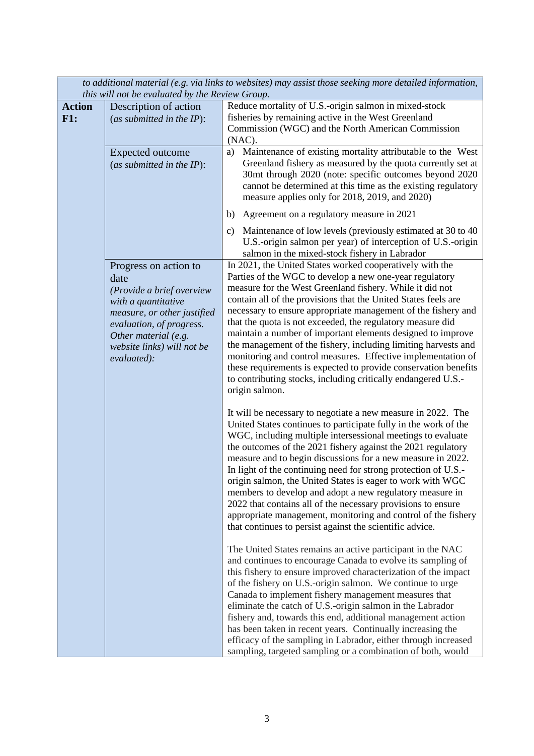|                      | this will not be evaluated by the Review Group.                                                                                                                                                                   | to additional material (e.g. via links to websites) may assist those seeking more detailed information,                                                                                                                                                                                                                                                                                                                                                                                                                                                                                                                                                                                                                                 |
|----------------------|-------------------------------------------------------------------------------------------------------------------------------------------------------------------------------------------------------------------|-----------------------------------------------------------------------------------------------------------------------------------------------------------------------------------------------------------------------------------------------------------------------------------------------------------------------------------------------------------------------------------------------------------------------------------------------------------------------------------------------------------------------------------------------------------------------------------------------------------------------------------------------------------------------------------------------------------------------------------------|
| <b>Action</b><br>F1: | Description of action<br>(as submitted in the $IP$ ):                                                                                                                                                             | Reduce mortality of U.S.-origin salmon in mixed-stock<br>fisheries by remaining active in the West Greenland<br>Commission (WGC) and the North American Commission<br>$(NAC)$ .                                                                                                                                                                                                                                                                                                                                                                                                                                                                                                                                                         |
|                      | <b>Expected outcome</b><br>(as submitted in the $IP$ ):                                                                                                                                                           | Maintenance of existing mortality attributable to the West<br>a)<br>Greenland fishery as measured by the quota currently set at<br>30mt through 2020 (note: specific outcomes beyond 2020<br>cannot be determined at this time as the existing regulatory<br>measure applies only for 2018, 2019, and 2020)                                                                                                                                                                                                                                                                                                                                                                                                                             |
|                      |                                                                                                                                                                                                                   | Agreement on a regulatory measure in 2021<br>b)<br>Maintenance of low levels (previously estimated at 30 to 40<br>c)<br>U.S.-origin salmon per year) of interception of U.S.-origin<br>salmon in the mixed-stock fishery in Labrador                                                                                                                                                                                                                                                                                                                                                                                                                                                                                                    |
|                      | Progress on action to<br>date<br>(Provide a brief overview<br>with a quantitative<br>measure, or other justified<br>evaluation, of progress.<br>Other material (e.g.<br>website links) will not be<br>evaluated): | In 2021, the United States worked cooperatively with the<br>Parties of the WGC to develop a new one-year regulatory<br>measure for the West Greenland fishery. While it did not<br>contain all of the provisions that the United States feels are<br>necessary to ensure appropriate management of the fishery and<br>that the quota is not exceeded, the regulatory measure did<br>maintain a number of important elements designed to improve<br>the management of the fishery, including limiting harvests and<br>monitoring and control measures. Effective implementation of<br>these requirements is expected to provide conservation benefits<br>to contributing stocks, including critically endangered U.S.-<br>origin salmon. |
|                      |                                                                                                                                                                                                                   | It will be necessary to negotiate a new measure in 2022. The<br>United States continues to participate fully in the work of the<br>WGC, including multiple intersessional meetings to evaluate<br>the outcomes of the 2021 fishery against the 2021 regulatory<br>measure and to begin discussions for a new measure in 2022.<br>In light of the continuing need for strong protection of U.S.-<br>origin salmon, the United States is eager to work with WGC<br>members to develop and adopt a new regulatory measure in<br>2022 that contains all of the necessary provisions to ensure<br>appropriate management, monitoring and control of the fishery<br>that continues to persist against the scientific advice.                  |
|                      |                                                                                                                                                                                                                   | The United States remains an active participant in the NAC<br>and continues to encourage Canada to evolve its sampling of<br>this fishery to ensure improved characterization of the impact<br>of the fishery on U.S.-origin salmon. We continue to urge<br>Canada to implement fishery management measures that<br>eliminate the catch of U.S.-origin salmon in the Labrador<br>fishery and, towards this end, additional management action<br>has been taken in recent years. Continually increasing the<br>efficacy of the sampling in Labrador, either through increased<br>sampling, targeted sampling or a combination of both, would                                                                                             |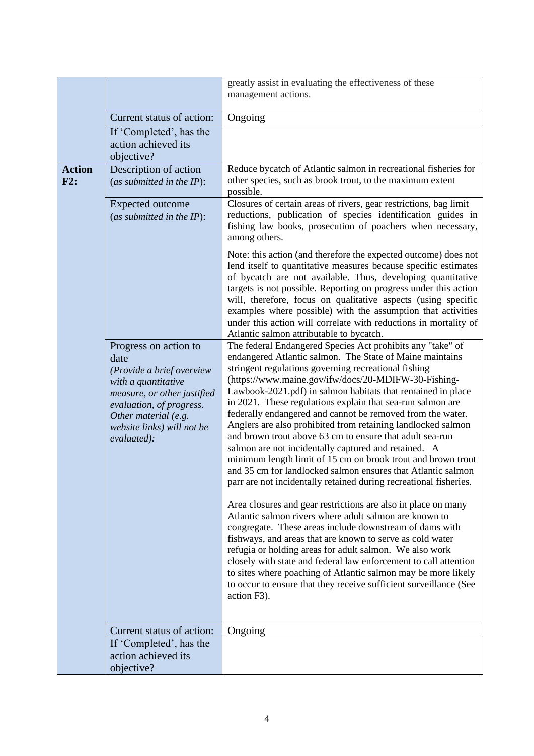|                      |                                                                                                                                                                                                                   | greatly assist in evaluating the effectiveness of these                                                                                                                                                                                                                                                                                                                                                                                                                                                                                                                                                                                                                                                                                                                                                                                                                                                                                                                                                                                                                                                                                                                                                                                                                                                                                                           |  |
|----------------------|-------------------------------------------------------------------------------------------------------------------------------------------------------------------------------------------------------------------|-------------------------------------------------------------------------------------------------------------------------------------------------------------------------------------------------------------------------------------------------------------------------------------------------------------------------------------------------------------------------------------------------------------------------------------------------------------------------------------------------------------------------------------------------------------------------------------------------------------------------------------------------------------------------------------------------------------------------------------------------------------------------------------------------------------------------------------------------------------------------------------------------------------------------------------------------------------------------------------------------------------------------------------------------------------------------------------------------------------------------------------------------------------------------------------------------------------------------------------------------------------------------------------------------------------------------------------------------------------------|--|
|                      |                                                                                                                                                                                                                   | management actions.                                                                                                                                                                                                                                                                                                                                                                                                                                                                                                                                                                                                                                                                                                                                                                                                                                                                                                                                                                                                                                                                                                                                                                                                                                                                                                                                               |  |
|                      | Current status of action:                                                                                                                                                                                         | Ongoing                                                                                                                                                                                                                                                                                                                                                                                                                                                                                                                                                                                                                                                                                                                                                                                                                                                                                                                                                                                                                                                                                                                                                                                                                                                                                                                                                           |  |
|                      | If 'Completed', has the<br>action achieved its<br>objective?                                                                                                                                                      |                                                                                                                                                                                                                                                                                                                                                                                                                                                                                                                                                                                                                                                                                                                                                                                                                                                                                                                                                                                                                                                                                                                                                                                                                                                                                                                                                                   |  |
| <b>Action</b><br>F2: | Description of action<br>(as submitted in the $IP$ ):                                                                                                                                                             | Reduce bycatch of Atlantic salmon in recreational fisheries for<br>other species, such as brook trout, to the maximum extent<br>possible.                                                                                                                                                                                                                                                                                                                                                                                                                                                                                                                                                                                                                                                                                                                                                                                                                                                                                                                                                                                                                                                                                                                                                                                                                         |  |
|                      | Expected outcome<br>(as submitted in the $IP$ ):                                                                                                                                                                  | Closures of certain areas of rivers, gear restrictions, bag limit<br>reductions, publication of species identification guides in<br>fishing law books, prosecution of poachers when necessary,<br>among others.                                                                                                                                                                                                                                                                                                                                                                                                                                                                                                                                                                                                                                                                                                                                                                                                                                                                                                                                                                                                                                                                                                                                                   |  |
|                      |                                                                                                                                                                                                                   | Note: this action (and therefore the expected outcome) does not<br>lend itself to quantitative measures because specific estimates<br>of bycatch are not available. Thus, developing quantitative<br>targets is not possible. Reporting on progress under this action<br>will, therefore, focus on qualitative aspects (using specific<br>examples where possible) with the assumption that activities<br>under this action will correlate with reductions in mortality of<br>Atlantic salmon attributable to bycatch.                                                                                                                                                                                                                                                                                                                                                                                                                                                                                                                                                                                                                                                                                                                                                                                                                                            |  |
|                      | Progress on action to<br>date<br>(Provide a brief overview<br>with a quantitative<br>measure, or other justified<br>evaluation, of progress.<br>Other material (e.g.<br>website links) will not be<br>evaluated): | The federal Endangered Species Act prohibits any "take" of<br>endangered Atlantic salmon. The State of Maine maintains<br>stringent regulations governing recreational fishing<br>(https://www.maine.gov/ifw/docs/20-MDIFW-30-Fishing-<br>Lawbook-2021.pdf) in salmon habitats that remained in place<br>in 2021. These regulations explain that sea-run salmon are<br>federally endangered and cannot be removed from the water.<br>Anglers are also prohibited from retaining landlocked salmon<br>and brown trout above 63 cm to ensure that adult sea-run<br>salmon are not incidentally captured and retained. A<br>minimum length limit of 15 cm on brook trout and brown trout<br>and 35 cm for landlocked salmon ensures that Atlantic salmon<br>parr are not incidentally retained during recreational fisheries.<br>Area closures and gear restrictions are also in place on many<br>Atlantic salmon rivers where adult salmon are known to<br>congregate. These areas include downstream of dams with<br>fishways, and areas that are known to serve as cold water<br>refugia or holding areas for adult salmon. We also work<br>closely with state and federal law enforcement to call attention<br>to sites where poaching of Atlantic salmon may be more likely<br>to occur to ensure that they receive sufficient surveillance (See<br>action F3). |  |
|                      | Current status of action:                                                                                                                                                                                         | Ongoing                                                                                                                                                                                                                                                                                                                                                                                                                                                                                                                                                                                                                                                                                                                                                                                                                                                                                                                                                                                                                                                                                                                                                                                                                                                                                                                                                           |  |
|                      | If 'Completed', has the<br>action achieved its<br>objective?                                                                                                                                                      |                                                                                                                                                                                                                                                                                                                                                                                                                                                                                                                                                                                                                                                                                                                                                                                                                                                                                                                                                                                                                                                                                                                                                                                                                                                                                                                                                                   |  |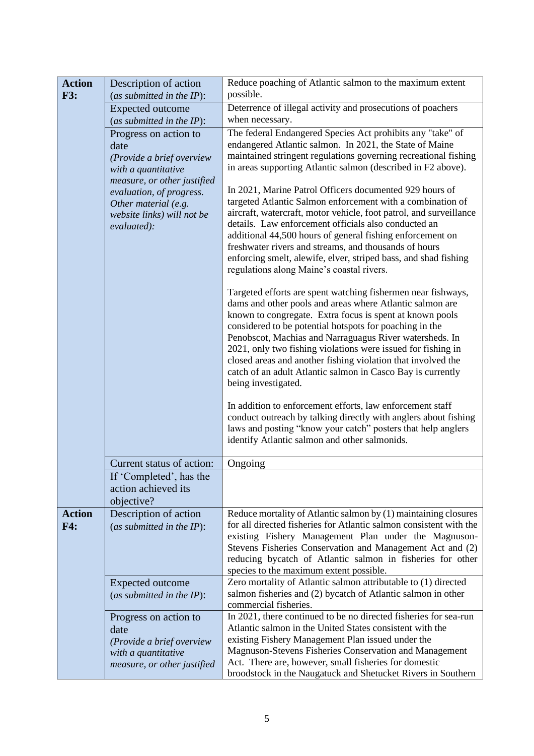| <b>Action</b><br><b>F3:</b> | Description of action<br>(as submitted in the $IP$ ):                                                                                        | Reduce poaching of Atlantic salmon to the maximum extent<br>possible.                                                                                                                                                                                                                                                                                                                                                                                                                                                            |
|-----------------------------|----------------------------------------------------------------------------------------------------------------------------------------------|----------------------------------------------------------------------------------------------------------------------------------------------------------------------------------------------------------------------------------------------------------------------------------------------------------------------------------------------------------------------------------------------------------------------------------------------------------------------------------------------------------------------------------|
|                             | Expected outcome                                                                                                                             | Deterrence of illegal activity and prosecutions of poachers                                                                                                                                                                                                                                                                                                                                                                                                                                                                      |
|                             | (as submitted in the $IP$ ):                                                                                                                 | when necessary.                                                                                                                                                                                                                                                                                                                                                                                                                                                                                                                  |
|                             | Progress on action to<br>date<br>(Provide a brief overview<br>with a quantitative<br>measure, or other justified<br>evaluation, of progress. | The federal Endangered Species Act prohibits any "take" of<br>endangered Atlantic salmon. In 2021, the State of Maine<br>maintained stringent regulations governing recreational fishing<br>in areas supporting Atlantic salmon (described in F2 above).<br>In 2021, Marine Patrol Officers documented 929 hours of                                                                                                                                                                                                              |
|                             | Other material (e.g.<br>website links) will not be<br>evaluated):                                                                            | targeted Atlantic Salmon enforcement with a combination of<br>aircraft, watercraft, motor vehicle, foot patrol, and surveillance<br>details. Law enforcement officials also conducted an<br>additional 44,500 hours of general fishing enforcement on<br>freshwater rivers and streams, and thousands of hours<br>enforcing smelt, alewife, elver, striped bass, and shad fishing<br>regulations along Maine's coastal rivers.                                                                                                   |
|                             |                                                                                                                                              | Targeted efforts are spent watching fishermen near fishways,<br>dams and other pools and areas where Atlantic salmon are<br>known to congregate. Extra focus is spent at known pools<br>considered to be potential hotspots for poaching in the<br>Penobscot, Machias and Narraguagus River watersheds. In<br>2021, only two fishing violations were issued for fishing in<br>closed areas and another fishing violation that involved the<br>catch of an adult Atlantic salmon in Casco Bay is currently<br>being investigated. |
|                             |                                                                                                                                              | In addition to enforcement efforts, law enforcement staff<br>conduct outreach by talking directly with anglers about fishing<br>laws and posting "know your catch" posters that help anglers<br>identify Atlantic salmon and other salmonids.                                                                                                                                                                                                                                                                                    |
|                             | Current status of action:                                                                                                                    | Ongoing                                                                                                                                                                                                                                                                                                                                                                                                                                                                                                                          |
|                             | If 'Completed', has the                                                                                                                      |                                                                                                                                                                                                                                                                                                                                                                                                                                                                                                                                  |
|                             | action achieved its<br>objective?                                                                                                            |                                                                                                                                                                                                                                                                                                                                                                                                                                                                                                                                  |
| <b>Action</b>               | Description of action                                                                                                                        | Reduce mortality of Atlantic salmon by (1) maintaining closures                                                                                                                                                                                                                                                                                                                                                                                                                                                                  |
| F4:                         | (as submitted in the $IP$ ):                                                                                                                 | for all directed fisheries for Atlantic salmon consistent with the                                                                                                                                                                                                                                                                                                                                                                                                                                                               |
|                             |                                                                                                                                              | existing Fishery Management Plan under the Magnuson-<br>Stevens Fisheries Conservation and Management Act and (2)<br>reducing bycatch of Atlantic salmon in fisheries for other<br>species to the maximum extent possible.                                                                                                                                                                                                                                                                                                       |
|                             | Expected outcome                                                                                                                             | Zero mortality of Atlantic salmon attributable to (1) directed                                                                                                                                                                                                                                                                                                                                                                                                                                                                   |
|                             | (as submitted in the $IP$ ):                                                                                                                 | salmon fisheries and (2) bycatch of Atlantic salmon in other<br>commercial fisheries.                                                                                                                                                                                                                                                                                                                                                                                                                                            |
|                             | Progress on action to                                                                                                                        | In 2021, there continued to be no directed fisheries for sea-run                                                                                                                                                                                                                                                                                                                                                                                                                                                                 |
|                             | date                                                                                                                                         | Atlantic salmon in the United States consistent with the                                                                                                                                                                                                                                                                                                                                                                                                                                                                         |
|                             | (Provide a brief overview                                                                                                                    | existing Fishery Management Plan issued under the<br>Magnuson-Stevens Fisheries Conservation and Management                                                                                                                                                                                                                                                                                                                                                                                                                      |
|                             | with a quantitative<br>measure, or other justified                                                                                           | Act. There are, however, small fisheries for domestic                                                                                                                                                                                                                                                                                                                                                                                                                                                                            |
|                             |                                                                                                                                              | broodstock in the Naugatuck and Shetucket Rivers in Southern                                                                                                                                                                                                                                                                                                                                                                                                                                                                     |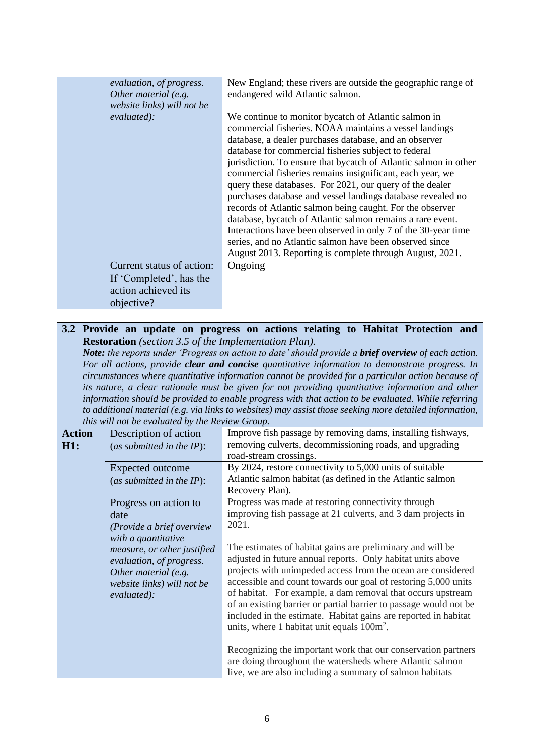| evaluation, of progress.<br>Other material (e.g.<br>website links) will not be<br>evaluated): | New England; these rivers are outside the geographic range of<br>endangered wild Atlantic salmon.<br>We continue to monitor bycatch of Atlantic salmon in                                                                                                                                                                                                                                                                                                                                                                                                                                                                                                                                                                                               |
|-----------------------------------------------------------------------------------------------|---------------------------------------------------------------------------------------------------------------------------------------------------------------------------------------------------------------------------------------------------------------------------------------------------------------------------------------------------------------------------------------------------------------------------------------------------------------------------------------------------------------------------------------------------------------------------------------------------------------------------------------------------------------------------------------------------------------------------------------------------------|
|                                                                                               | commercial fisheries. NOAA maintains a vessel landings<br>database, a dealer purchases database, and an observer<br>database for commercial fisheries subject to federal<br>jurisdiction. To ensure that bycatch of Atlantic salmon in other<br>commercial fisheries remains insignificant, each year, we<br>query these databases. For 2021, our query of the dealer<br>purchases database and vessel landings database revealed no<br>records of Atlantic salmon being caught. For the observer<br>database, bycatch of Atlantic salmon remains a rare event.<br>Interactions have been observed in only 7 of the 30-year time<br>series, and no Atlantic salmon have been observed since<br>August 2013. Reporting is complete through August, 2021. |
| Current status of action:                                                                     | Ongoing                                                                                                                                                                                                                                                                                                                                                                                                                                                                                                                                                                                                                                                                                                                                                 |
| If 'Completed', has the<br>action achieved its<br>objective?                                  |                                                                                                                                                                                                                                                                                                                                                                                                                                                                                                                                                                                                                                                                                                                                                         |

#### **3.2 Provide an update on progress on actions relating to Habitat Protection and Restoration** *(section 3.5 of the Implementation Plan).*

*Note: the reports under 'Progress on action to date' should provide a brief overview of each action. For all actions, provide clear and concise quantitative information to demonstrate progress. In circumstances where quantitative information cannot be provided for a particular action because of its nature, a clear rationale must be given for not providing quantitative information and other information should be provided to enable progress with that action to be evaluated. While referring to additional material (e.g. via links to websites) may assist those seeking more detailed information, this will not be evaluated by the Review Group.*

| <b>Action</b><br>H1: | Description of action<br>(as submitted in the $IP$ ):                                                                        | Improve fish passage by removing dams, installing fishways,<br>removing culverts, decommissioning roads, and upgrading<br>road-stream crossings.                                                                                                                                                                                                                                                                                                                                                                    |
|----------------------|------------------------------------------------------------------------------------------------------------------------------|---------------------------------------------------------------------------------------------------------------------------------------------------------------------------------------------------------------------------------------------------------------------------------------------------------------------------------------------------------------------------------------------------------------------------------------------------------------------------------------------------------------------|
|                      | Expected outcome<br>(as submitted in the $IP$ ):                                                                             | By 2024, restore connectivity to 5,000 units of suitable<br>Atlantic salmon habitat (as defined in the Atlantic salmon<br>Recovery Plan).                                                                                                                                                                                                                                                                                                                                                                           |
|                      | Progress on action to<br>date<br>(Provide a brief overview<br>with a quantitative                                            | Progress was made at restoring connectivity through<br>improving fish passage at 21 culverts, and 3 dam projects in<br>2021.                                                                                                                                                                                                                                                                                                                                                                                        |
|                      | measure, or other justified<br>evaluation, of progress.<br>Other material (e.g.<br>website links) will not be<br>evaluated): | The estimates of habitat gains are preliminary and will be<br>adjusted in future annual reports. Only habitat units above<br>projects with unimpeded access from the ocean are considered<br>accessible and count towards our goal of restoring 5,000 units<br>of habitat. For example, a dam removal that occurs upstream<br>of an existing barrier or partial barrier to passage would not be<br>included in the estimate. Habitat gains are reported in habitat<br>units, where 1 habitat unit equals $100m^2$ . |
|                      |                                                                                                                              | Recognizing the important work that our conservation partners<br>are doing throughout the watersheds where Atlantic salmon<br>live, we are also including a summary of salmon habitats                                                                                                                                                                                                                                                                                                                              |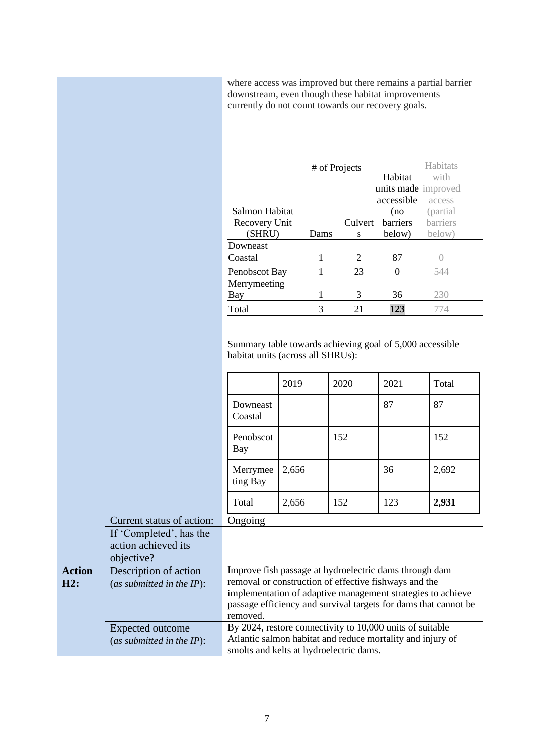|                      |                                                              | downstream, even though these habitat improvements<br>currently do not count towards our recovery goals.                                                           |       |              |                |                                | where access was improved but there remains a partial barrier                                                                  |
|----------------------|--------------------------------------------------------------|--------------------------------------------------------------------------------------------------------------------------------------------------------------------|-------|--------------|----------------|--------------------------------|--------------------------------------------------------------------------------------------------------------------------------|
|                      |                                                              |                                                                                                                                                                    |       |              |                |                                |                                                                                                                                |
|                      |                                                              |                                                                                                                                                                    |       |              | # of Projects  | Habitat<br>units made improved | Habitats<br>with                                                                                                               |
|                      |                                                              | Salmon Habitat                                                                                                                                                     |       |              |                | accessible                     | access                                                                                                                         |
|                      |                                                              | Recovery Unit                                                                                                                                                      |       |              | Culvert        | (no<br>barriers                | (partial<br>barriers                                                                                                           |
|                      |                                                              | (SHRU)                                                                                                                                                             |       | Dams         | ${\bf S}$      | below)                         | below)                                                                                                                         |
|                      |                                                              | Downeast                                                                                                                                                           |       |              |                |                                |                                                                                                                                |
|                      |                                                              | Coastal                                                                                                                                                            |       | $\mathbf{1}$ | $\overline{2}$ | 87                             | $\overline{0}$                                                                                                                 |
|                      |                                                              | Penobscot Bay                                                                                                                                                      |       | $\mathbf{1}$ | 23             | $\boldsymbol{0}$               | 544                                                                                                                            |
|                      |                                                              | Merrymeeting                                                                                                                                                       |       |              |                |                                |                                                                                                                                |
|                      |                                                              | Bay                                                                                                                                                                |       | 1            | 3              | 36                             | 230                                                                                                                            |
|                      |                                                              | Total                                                                                                                                                              |       | 3            | 21             | 123                            | 774                                                                                                                            |
|                      |                                                              | Downeast                                                                                                                                                           | 2019  |              | 2020           | 2021<br>87                     | Total<br>87                                                                                                                    |
|                      |                                                              | Coastal                                                                                                                                                            |       |              |                |                                |                                                                                                                                |
|                      |                                                              | Penobscot<br>Bay                                                                                                                                                   |       |              | 152            |                                | 152                                                                                                                            |
|                      |                                                              | Merrymee<br>ting Bay                                                                                                                                               | 2,656 |              |                | 36                             | 2,692                                                                                                                          |
|                      |                                                              | Total                                                                                                                                                              | 2,656 |              | 152            | 123                            | 2,931                                                                                                                          |
|                      | Current status of action:                                    | Ongoing                                                                                                                                                            |       |              |                |                                |                                                                                                                                |
|                      | If 'Completed', has the<br>action achieved its<br>objective? |                                                                                                                                                                    |       |              |                |                                |                                                                                                                                |
| <b>Action</b><br>H2: | Description of action<br>(as submitted in the $IP$ ):        | Improve fish passage at hydroelectric dams through dam<br>removal or construction of effective fishways and the<br>removed.                                        |       |              |                |                                | implementation of adaptive management strategies to achieve<br>passage efficiency and survival targets for dams that cannot be |
|                      | <b>Expected outcome</b><br>(as submitted in the $IP$ ):      | By 2024, restore connectivity to 10,000 units of suitable<br>Atlantic salmon habitat and reduce mortality and injury of<br>smolts and kelts at hydroelectric dams. |       |              |                |                                |                                                                                                                                |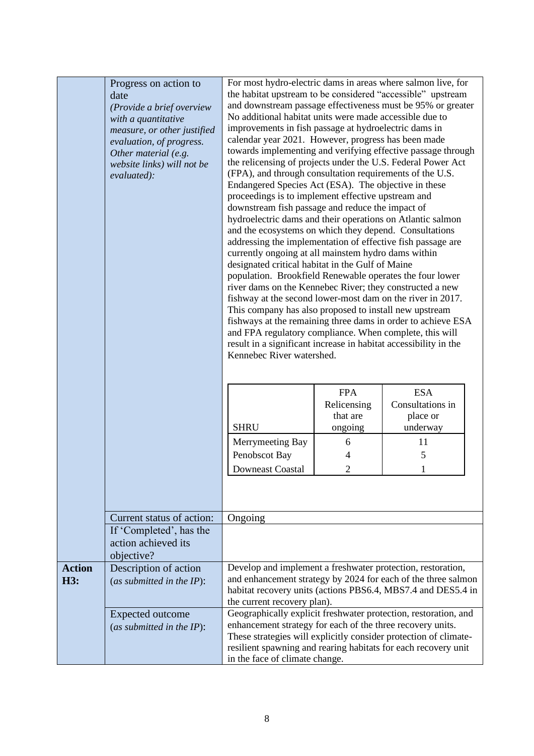|                      | Progress on action to<br>date<br>(Provide a brief overview<br>with a quantitative<br>measure, or other justified<br>evaluation, of progress.<br>Other material (e.g.<br>website links) will not be<br>evaluated): | the habitat upstream to be considered "accessible" upstream<br>and downstream passage effectiveness must be 95% or greater<br>No additional habitat units were made accessible due to<br>improvements in fish passage at hydroelectric dams in<br>calendar year 2021. However, progress has been made<br>towards implementing and verifying effective passage through<br>the relicensing of projects under the U.S. Federal Power Act<br>(FPA), and through consultation requirements of the U.S.<br>Endangered Species Act (ESA). The objective in these<br>proceedings is to implement effective upstream and<br>downstream fish passage and reduce the impact of<br>hydroelectric dams and their operations on Atlantic salmon<br>and the ecosystems on which they depend. Consultations<br>addressing the implementation of effective fish passage are<br>currently ongoing at all mainstem hydro dams within<br>designated critical habitat in the Gulf of Maine<br>population. Brookfield Renewable operates the four lower<br>river dams on the Kennebec River; they constructed a new<br>fishway at the second lower-most dam on the river in 2017.<br>This company has also proposed to install new upstream<br>fishways at the remaining three dams in order to achieve ESA<br>and FPA regulatory compliance. When complete, this will<br>result in a significant increase in habitat accessibility in the<br>Kennebec River watershed. |         |          |
|----------------------|-------------------------------------------------------------------------------------------------------------------------------------------------------------------------------------------------------------------|---------------------------------------------------------------------------------------------------------------------------------------------------------------------------------------------------------------------------------------------------------------------------------------------------------------------------------------------------------------------------------------------------------------------------------------------------------------------------------------------------------------------------------------------------------------------------------------------------------------------------------------------------------------------------------------------------------------------------------------------------------------------------------------------------------------------------------------------------------------------------------------------------------------------------------------------------------------------------------------------------------------------------------------------------------------------------------------------------------------------------------------------------------------------------------------------------------------------------------------------------------------------------------------------------------------------------------------------------------------------------------------------------------------------------------------------------|---------|----------|
|                      |                                                                                                                                                                                                                   | <b>FPA</b><br><b>ESA</b><br>Consultations in<br>Relicensing<br>place or<br>that are                                                                                                                                                                                                                                                                                                                                                                                                                                                                                                                                                                                                                                                                                                                                                                                                                                                                                                                                                                                                                                                                                                                                                                                                                                                                                                                                                               |         |          |
|                      |                                                                                                                                                                                                                   | <b>SHRU</b>                                                                                                                                                                                                                                                                                                                                                                                                                                                                                                                                                                                                                                                                                                                                                                                                                                                                                                                                                                                                                                                                                                                                                                                                                                                                                                                                                                                                                                       | ongoing | underway |
|                      |                                                                                                                                                                                                                   | Merrymeeting Bay                                                                                                                                                                                                                                                                                                                                                                                                                                                                                                                                                                                                                                                                                                                                                                                                                                                                                                                                                                                                                                                                                                                                                                                                                                                                                                                                                                                                                                  | 6       | 11       |
|                      |                                                                                                                                                                                                                   | Penobscot Bay                                                                                                                                                                                                                                                                                                                                                                                                                                                                                                                                                                                                                                                                                                                                                                                                                                                                                                                                                                                                                                                                                                                                                                                                                                                                                                                                                                                                                                     | 4       | 5        |
|                      |                                                                                                                                                                                                                   | <b>Downeast Coastal</b>                                                                                                                                                                                                                                                                                                                                                                                                                                                                                                                                                                                                                                                                                                                                                                                                                                                                                                                                                                                                                                                                                                                                                                                                                                                                                                                                                                                                                           | 2       | 1        |
|                      | Current status of action:                                                                                                                                                                                         | Ongoing                                                                                                                                                                                                                                                                                                                                                                                                                                                                                                                                                                                                                                                                                                                                                                                                                                                                                                                                                                                                                                                                                                                                                                                                                                                                                                                                                                                                                                           |         |          |
|                      | If 'Completed', has the<br>action achieved its<br>objective?                                                                                                                                                      |                                                                                                                                                                                                                                                                                                                                                                                                                                                                                                                                                                                                                                                                                                                                                                                                                                                                                                                                                                                                                                                                                                                                                                                                                                                                                                                                                                                                                                                   |         |          |
| <b>Action</b><br>H3: | Description of action<br>(as submitted in the $IP$ ):                                                                                                                                                             | Develop and implement a freshwater protection, restoration,<br>and enhancement strategy by 2024 for each of the three salmon<br>habitat recovery units (actions PBS6.4, MBS7.4 and DES5.4 in<br>the current recovery plan).                                                                                                                                                                                                                                                                                                                                                                                                                                                                                                                                                                                                                                                                                                                                                                                                                                                                                                                                                                                                                                                                                                                                                                                                                       |         |          |
|                      | <b>Expected outcome</b><br>(as submitted in the $IP$ ):                                                                                                                                                           | Geographically explicit freshwater protection, restoration, and<br>enhancement strategy for each of the three recovery units.<br>These strategies will explicitly consider protection of climate-<br>resilient spawning and rearing habitats for each recovery unit<br>in the face of climate change.                                                                                                                                                                                                                                                                                                                                                                                                                                                                                                                                                                                                                                                                                                                                                                                                                                                                                                                                                                                                                                                                                                                                             |         |          |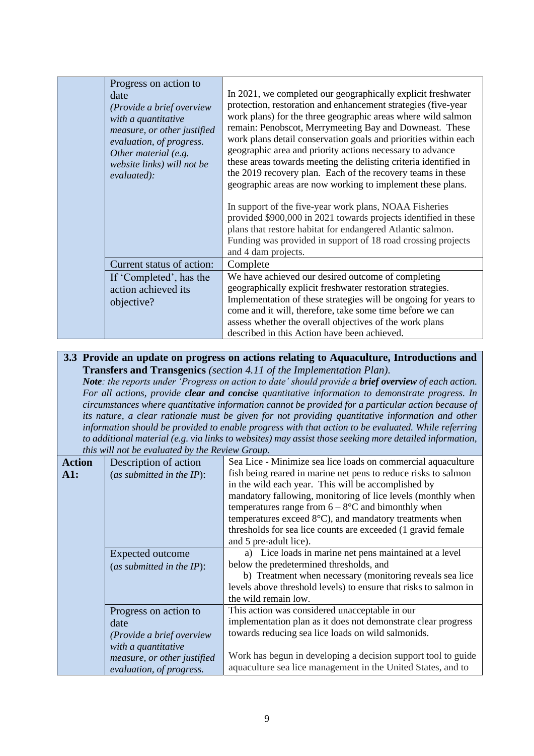| Progress on action to<br>date<br>(Provide a brief overview<br>with a quantitative<br>measure, or other justified<br>evaluation, of progress.<br>Other material (e.g.<br>website links) will not be<br>evaluated): | In 2021, we completed our geographically explicit freshwater<br>protection, restoration and enhancement strategies (five-year<br>work plans) for the three geographic areas where wild salmon<br>remain: Penobscot, Merrymeeting Bay and Downeast. These<br>work plans detail conservation goals and priorities within each<br>geographic area and priority actions necessary to advance<br>these areas towards meeting the delisting criteria identified in<br>the 2019 recovery plan. Each of the recovery teams in these<br>geographic areas are now working to implement these plans.<br>In support of the five-year work plans, NOAA Fisheries<br>provided \$900,000 in 2021 towards projects identified in these<br>plans that restore habitat for endangered Atlantic salmon.<br>Funding was provided in support of 18 road crossing projects<br>and 4 dam projects. |
|-------------------------------------------------------------------------------------------------------------------------------------------------------------------------------------------------------------------|-----------------------------------------------------------------------------------------------------------------------------------------------------------------------------------------------------------------------------------------------------------------------------------------------------------------------------------------------------------------------------------------------------------------------------------------------------------------------------------------------------------------------------------------------------------------------------------------------------------------------------------------------------------------------------------------------------------------------------------------------------------------------------------------------------------------------------------------------------------------------------|
| Current status of action:                                                                                                                                                                                         | Complete                                                                                                                                                                                                                                                                                                                                                                                                                                                                                                                                                                                                                                                                                                                                                                                                                                                                    |
| If 'Completed', has the<br>action achieved its<br>objective?                                                                                                                                                      | We have achieved our desired outcome of completing<br>geographically explicit freshwater restoration strategies.<br>Implementation of these strategies will be ongoing for years to<br>come and it will, therefore, take some time before we can<br>assess whether the overall objectives of the work plans<br>described in this Action have been achieved.                                                                                                                                                                                                                                                                                                                                                                                                                                                                                                                 |

#### **3.3 Provide an update on progress on actions relating to Aquaculture, Introductions and Transfers and Transgenics** *(section 4.11 of the Implementation Plan).*

*Note: the reports under 'Progress on action to date' should provide a brief overview of each action. For all actions, provide clear and concise quantitative information to demonstrate progress. In circumstances where quantitative information cannot be provided for a particular action because of its nature, a clear rationale must be given for not providing quantitative information and other information should be provided to enable progress with that action to be evaluated. While referring to additional material (e.g. via links to websites) may assist those seeking more detailed information, this will not be evaluated by the Review Group.*

|                                  | this will not be evaluated by the Review Group.       |                                                                                                                                                                                                                                                                                                                                                                                                                                                     |  |  |
|----------------------------------|-------------------------------------------------------|-----------------------------------------------------------------------------------------------------------------------------------------------------------------------------------------------------------------------------------------------------------------------------------------------------------------------------------------------------------------------------------------------------------------------------------------------------|--|--|
| <b>Action</b><br>$\mathbf{A}$ 1: | Description of action<br>(as submitted in the $IP$ ): | Sea Lice - Minimize sea lice loads on commercial aquaculture<br>fish being reared in marine net pens to reduce risks to salmon<br>in the wild each year. This will be accomplished by<br>mandatory fallowing, monitoring of lice levels (monthly when<br>temperatures range from $6 - 8$ °C and bimonthly when<br>temperatures exceed $8^{\circ}$ C), and mandatory treatments when<br>thresholds for sea lice counts are exceeded (1 gravid female |  |  |
|                                  |                                                       | and 5 pre-adult lice).                                                                                                                                                                                                                                                                                                                                                                                                                              |  |  |
|                                  | Expected outcome                                      | a) Lice loads in marine net pens maintained at a level                                                                                                                                                                                                                                                                                                                                                                                              |  |  |
|                                  | (as submitted in the $IP$ ):                          | below the predetermined thresholds, and                                                                                                                                                                                                                                                                                                                                                                                                             |  |  |
|                                  |                                                       | b) Treatment when necessary (monitoring reveals sea lice                                                                                                                                                                                                                                                                                                                                                                                            |  |  |
|                                  |                                                       | levels above threshold levels) to ensure that risks to salmon in                                                                                                                                                                                                                                                                                                                                                                                    |  |  |
|                                  |                                                       | the wild remain low.                                                                                                                                                                                                                                                                                                                                                                                                                                |  |  |
|                                  | Progress on action to                                 | This action was considered unacceptable in our                                                                                                                                                                                                                                                                                                                                                                                                      |  |  |
|                                  | date                                                  | implementation plan as it does not demonstrate clear progress                                                                                                                                                                                                                                                                                                                                                                                       |  |  |
|                                  | (Provide a brief overview                             | towards reducing sea lice loads on wild salmonids.                                                                                                                                                                                                                                                                                                                                                                                                  |  |  |
|                                  | with a quantitative                                   |                                                                                                                                                                                                                                                                                                                                                                                                                                                     |  |  |
|                                  | measure, or other justified                           | Work has begun in developing a decision support tool to guide                                                                                                                                                                                                                                                                                                                                                                                       |  |  |
|                                  | evaluation, of progress.                              | aquaculture sea lice management in the United States, and to                                                                                                                                                                                                                                                                                                                                                                                        |  |  |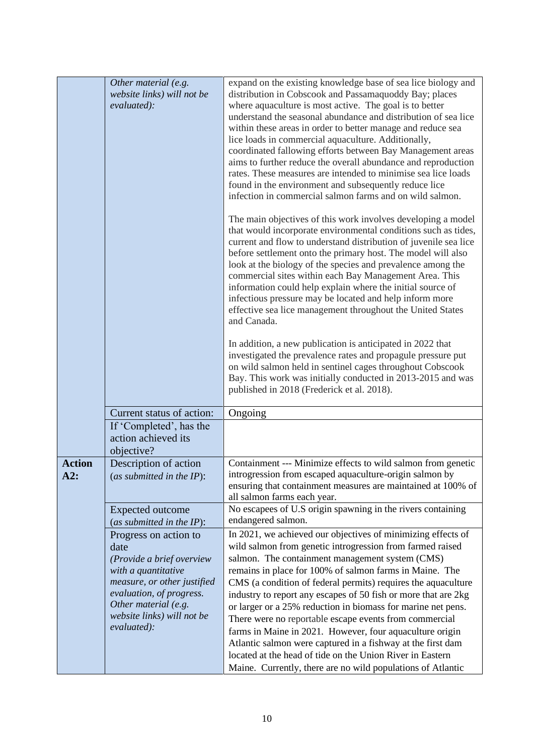|                      | Other material (e.g.<br>website links) will not be<br>evaluated):                                                                                                                                                 | expand on the existing knowledge base of sea lice biology and<br>distribution in Cobscook and Passamaquoddy Bay; places<br>where aquaculture is most active. The goal is to better<br>understand the seasonal abundance and distribution of sea lice<br>within these areas in order to better manage and reduce sea<br>lice loads in commercial aquaculture. Additionally,<br>coordinated fallowing efforts between Bay Management areas<br>aims to further reduce the overall abundance and reproduction<br>rates. These measures are intended to minimise sea lice loads<br>found in the environment and subsequently reduce lice<br>infection in commercial salmon farms and on wild salmon.<br>The main objectives of this work involves developing a model<br>that would incorporate environmental conditions such as tides,<br>current and flow to understand distribution of juvenile sea lice<br>before settlement onto the primary host. The model will also<br>look at the biology of the species and prevalence among the<br>commercial sites within each Bay Management Area. This<br>information could help explain where the initial source of<br>infectious pressure may be located and help inform more<br>effective sea lice management throughout the United States<br>and Canada. |
|----------------------|-------------------------------------------------------------------------------------------------------------------------------------------------------------------------------------------------------------------|------------------------------------------------------------------------------------------------------------------------------------------------------------------------------------------------------------------------------------------------------------------------------------------------------------------------------------------------------------------------------------------------------------------------------------------------------------------------------------------------------------------------------------------------------------------------------------------------------------------------------------------------------------------------------------------------------------------------------------------------------------------------------------------------------------------------------------------------------------------------------------------------------------------------------------------------------------------------------------------------------------------------------------------------------------------------------------------------------------------------------------------------------------------------------------------------------------------------------------------------------------------------------------------------------|
|                      |                                                                                                                                                                                                                   | In addition, a new publication is anticipated in 2022 that<br>investigated the prevalence rates and propagule pressure put<br>on wild salmon held in sentinel cages throughout Cobscook<br>Bay. This work was initially conducted in 2013-2015 and was<br>published in 2018 (Frederick et al. 2018).                                                                                                                                                                                                                                                                                                                                                                                                                                                                                                                                                                                                                                                                                                                                                                                                                                                                                                                                                                                                 |
|                      | Current status of action:                                                                                                                                                                                         |                                                                                                                                                                                                                                                                                                                                                                                                                                                                                                                                                                                                                                                                                                                                                                                                                                                                                                                                                                                                                                                                                                                                                                                                                                                                                                      |
|                      | If 'Completed', has the<br>action achieved its<br>objective?                                                                                                                                                      | Ongoing                                                                                                                                                                                                                                                                                                                                                                                                                                                                                                                                                                                                                                                                                                                                                                                                                                                                                                                                                                                                                                                                                                                                                                                                                                                                                              |
| <b>Action</b><br>A2: | Description of action<br>(as submitted in the $IP$ ):                                                                                                                                                             | Containment --- Minimize effects to wild salmon from genetic<br>introgression from escaped aquaculture-origin salmon by<br>ensuring that containment measures are maintained at 100% of<br>all salmon farms each year.                                                                                                                                                                                                                                                                                                                                                                                                                                                                                                                                                                                                                                                                                                                                                                                                                                                                                                                                                                                                                                                                               |
|                      | <b>Expected outcome</b>                                                                                                                                                                                           | No escapees of U.S origin spawning in the rivers containing                                                                                                                                                                                                                                                                                                                                                                                                                                                                                                                                                                                                                                                                                                                                                                                                                                                                                                                                                                                                                                                                                                                                                                                                                                          |
|                      | (as submitted in the $IP$ ):                                                                                                                                                                                      | endangered salmon.                                                                                                                                                                                                                                                                                                                                                                                                                                                                                                                                                                                                                                                                                                                                                                                                                                                                                                                                                                                                                                                                                                                                                                                                                                                                                   |
|                      | Progress on action to<br>date<br>(Provide a brief overview<br>with a quantitative<br>measure, or other justified<br>evaluation, of progress.<br>Other material (e.g.<br>website links) will not be<br>evaluated): | In 2021, we achieved our objectives of minimizing effects of<br>wild salmon from genetic introgression from farmed raised<br>salmon. The containment management system (CMS)<br>remains in place for 100% of salmon farms in Maine. The<br>CMS (a condition of federal permits) requires the aquaculture<br>industry to report any escapes of 50 fish or more that are 2kg<br>or larger or a 25% reduction in biomass for marine net pens.<br>There were no reportable escape events from commercial<br>farms in Maine in 2021. However, four aquaculture origin<br>Atlantic salmon were captured in a fishway at the first dam<br>located at the head of tide on the Union River in Eastern<br>Maine. Currently, there are no wild populations of Atlantic                                                                                                                                                                                                                                                                                                                                                                                                                                                                                                                                          |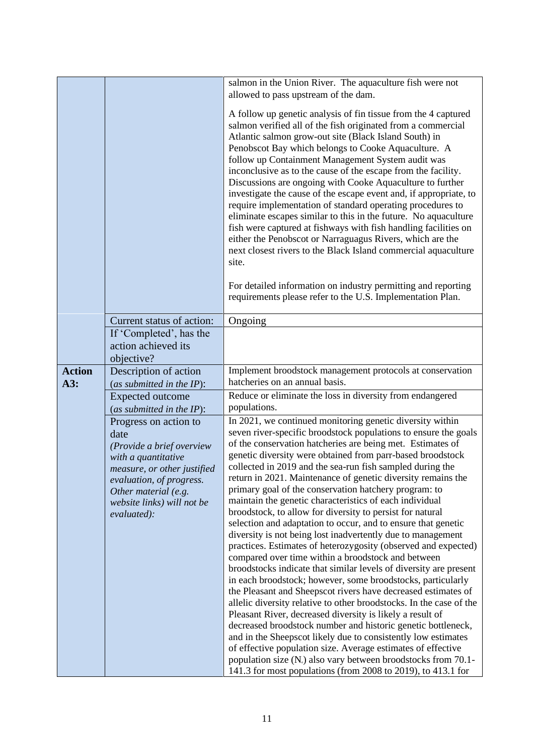|                                                                                                                                                             | salmon in the Union River. The aquaculture fish were not<br>allowed to pass upstream of the dam.<br>A follow up genetic analysis of fin tissue from the 4 captured<br>salmon verified all of the fish originated from a commercial<br>Atlantic salmon grow-out site (Black Island South) in<br>Penobscot Bay which belongs to Cooke Aquaculture. A<br>follow up Containment Management System audit was<br>inconclusive as to the cause of the escape from the facility.<br>Discussions are ongoing with Cooke Aquaculture to further<br>investigate the cause of the escape event and, if appropriate, to<br>require implementation of standard operating procedures to<br>eliminate escapes similar to this in the future. No aquaculture<br>fish were captured at fishways with fish handling facilities on<br>either the Penobscot or Narraguagus Rivers, which are the<br>next closest rivers to the Black Island commercial aquaculture<br>site.                                                                             |
|-------------------------------------------------------------------------------------------------------------------------------------------------------------|------------------------------------------------------------------------------------------------------------------------------------------------------------------------------------------------------------------------------------------------------------------------------------------------------------------------------------------------------------------------------------------------------------------------------------------------------------------------------------------------------------------------------------------------------------------------------------------------------------------------------------------------------------------------------------------------------------------------------------------------------------------------------------------------------------------------------------------------------------------------------------------------------------------------------------------------------------------------------------------------------------------------------------|
|                                                                                                                                                             |                                                                                                                                                                                                                                                                                                                                                                                                                                                                                                                                                                                                                                                                                                                                                                                                                                                                                                                                                                                                                                    |
|                                                                                                                                                             |                                                                                                                                                                                                                                                                                                                                                                                                                                                                                                                                                                                                                                                                                                                                                                                                                                                                                                                                                                                                                                    |
|                                                                                                                                                             |                                                                                                                                                                                                                                                                                                                                                                                                                                                                                                                                                                                                                                                                                                                                                                                                                                                                                                                                                                                                                                    |
|                                                                                                                                                             | For detailed information on industry permitting and reporting<br>requirements please refer to the U.S. Implementation Plan.                                                                                                                                                                                                                                                                                                                                                                                                                                                                                                                                                                                                                                                                                                                                                                                                                                                                                                        |
| Current status of action:                                                                                                                                   | Ongoing                                                                                                                                                                                                                                                                                                                                                                                                                                                                                                                                                                                                                                                                                                                                                                                                                                                                                                                                                                                                                            |
| If 'Completed', has the                                                                                                                                     |                                                                                                                                                                                                                                                                                                                                                                                                                                                                                                                                                                                                                                                                                                                                                                                                                                                                                                                                                                                                                                    |
| action achieved its                                                                                                                                         |                                                                                                                                                                                                                                                                                                                                                                                                                                                                                                                                                                                                                                                                                                                                                                                                                                                                                                                                                                                                                                    |
| objective?                                                                                                                                                  |                                                                                                                                                                                                                                                                                                                                                                                                                                                                                                                                                                                                                                                                                                                                                                                                                                                                                                                                                                                                                                    |
| <b>Action</b><br>Description of action                                                                                                                      | Implement broodstock management protocols at conservation                                                                                                                                                                                                                                                                                                                                                                                                                                                                                                                                                                                                                                                                                                                                                                                                                                                                                                                                                                          |
| A3:<br>(as submitted in the IP):                                                                                                                            |                                                                                                                                                                                                                                                                                                                                                                                                                                                                                                                                                                                                                                                                                                                                                                                                                                                                                                                                                                                                                                    |
| <b>Expected outcome</b>                                                                                                                                     |                                                                                                                                                                                                                                                                                                                                                                                                                                                                                                                                                                                                                                                                                                                                                                                                                                                                                                                                                                                                                                    |
| (as submitted in the IP):                                                                                                                                   |                                                                                                                                                                                                                                                                                                                                                                                                                                                                                                                                                                                                                                                                                                                                                                                                                                                                                                                                                                                                                                    |
|                                                                                                                                                             |                                                                                                                                                                                                                                                                                                                                                                                                                                                                                                                                                                                                                                                                                                                                                                                                                                                                                                                                                                                                                                    |
|                                                                                                                                                             |                                                                                                                                                                                                                                                                                                                                                                                                                                                                                                                                                                                                                                                                                                                                                                                                                                                                                                                                                                                                                                    |
|                                                                                                                                                             |                                                                                                                                                                                                                                                                                                                                                                                                                                                                                                                                                                                                                                                                                                                                                                                                                                                                                                                                                                                                                                    |
|                                                                                                                                                             |                                                                                                                                                                                                                                                                                                                                                                                                                                                                                                                                                                                                                                                                                                                                                                                                                                                                                                                                                                                                                                    |
|                                                                                                                                                             | return in 2021. Maintenance of genetic diversity remains the                                                                                                                                                                                                                                                                                                                                                                                                                                                                                                                                                                                                                                                                                                                                                                                                                                                                                                                                                                       |
| Other material (e.g.                                                                                                                                        | primary goal of the conservation hatchery program: to                                                                                                                                                                                                                                                                                                                                                                                                                                                                                                                                                                                                                                                                                                                                                                                                                                                                                                                                                                              |
| website links) will not be                                                                                                                                  |                                                                                                                                                                                                                                                                                                                                                                                                                                                                                                                                                                                                                                                                                                                                                                                                                                                                                                                                                                                                                                    |
|                                                                                                                                                             |                                                                                                                                                                                                                                                                                                                                                                                                                                                                                                                                                                                                                                                                                                                                                                                                                                                                                                                                                                                                                                    |
|                                                                                                                                                             |                                                                                                                                                                                                                                                                                                                                                                                                                                                                                                                                                                                                                                                                                                                                                                                                                                                                                                                                                                                                                                    |
|                                                                                                                                                             |                                                                                                                                                                                                                                                                                                                                                                                                                                                                                                                                                                                                                                                                                                                                                                                                                                                                                                                                                                                                                                    |
|                                                                                                                                                             | compared over time within a broodstock and between                                                                                                                                                                                                                                                                                                                                                                                                                                                                                                                                                                                                                                                                                                                                                                                                                                                                                                                                                                                 |
|                                                                                                                                                             | broodstocks indicate that similar levels of diversity are present                                                                                                                                                                                                                                                                                                                                                                                                                                                                                                                                                                                                                                                                                                                                                                                                                                                                                                                                                                  |
|                                                                                                                                                             |                                                                                                                                                                                                                                                                                                                                                                                                                                                                                                                                                                                                                                                                                                                                                                                                                                                                                                                                                                                                                                    |
|                                                                                                                                                             |                                                                                                                                                                                                                                                                                                                                                                                                                                                                                                                                                                                                                                                                                                                                                                                                                                                                                                                                                                                                                                    |
|                                                                                                                                                             |                                                                                                                                                                                                                                                                                                                                                                                                                                                                                                                                                                                                                                                                                                                                                                                                                                                                                                                                                                                                                                    |
|                                                                                                                                                             | decreased broodstock number and historic genetic bottleneck,                                                                                                                                                                                                                                                                                                                                                                                                                                                                                                                                                                                                                                                                                                                                                                                                                                                                                                                                                                       |
|                                                                                                                                                             | and in the Sheepscot likely due to consistently low estimates                                                                                                                                                                                                                                                                                                                                                                                                                                                                                                                                                                                                                                                                                                                                                                                                                                                                                                                                                                      |
|                                                                                                                                                             | of effective population size. Average estimates of effective                                                                                                                                                                                                                                                                                                                                                                                                                                                                                                                                                                                                                                                                                                                                                                                                                                                                                                                                                                       |
|                                                                                                                                                             | population size (N <sub>c</sub> ) also vary between broodstocks from 70.1-<br>141.3 for most populations (from 2008 to 2019), to 413.1 for                                                                                                                                                                                                                                                                                                                                                                                                                                                                                                                                                                                                                                                                                                                                                                                                                                                                                         |
| Progress on action to<br>date<br>(Provide a brief overview<br>with a quantitative<br>measure, or other justified<br>evaluation, of progress.<br>evaluated): | hatcheries on an annual basis.<br>Reduce or eliminate the loss in diversity from endangered<br>populations.<br>In 2021, we continued monitoring genetic diversity within<br>seven river-specific broodstock populations to ensure the goals<br>of the conservation hatcheries are being met. Estimates of<br>genetic diversity were obtained from parr-based broodstock<br>collected in 2019 and the sea-run fish sampled during the<br>maintain the genetic characteristics of each individual<br>broodstock, to allow for diversity to persist for natural<br>selection and adaptation to occur, and to ensure that genetic<br>diversity is not being lost inadvertently due to management<br>practices. Estimates of heterozygosity (observed and expected)<br>in each broodstock; however, some broodstocks, particularly<br>the Pleasant and Sheepscot rivers have decreased estimates of<br>allelic diversity relative to other broodstocks. In the case of the<br>Pleasant River, decreased diversity is likely a result of |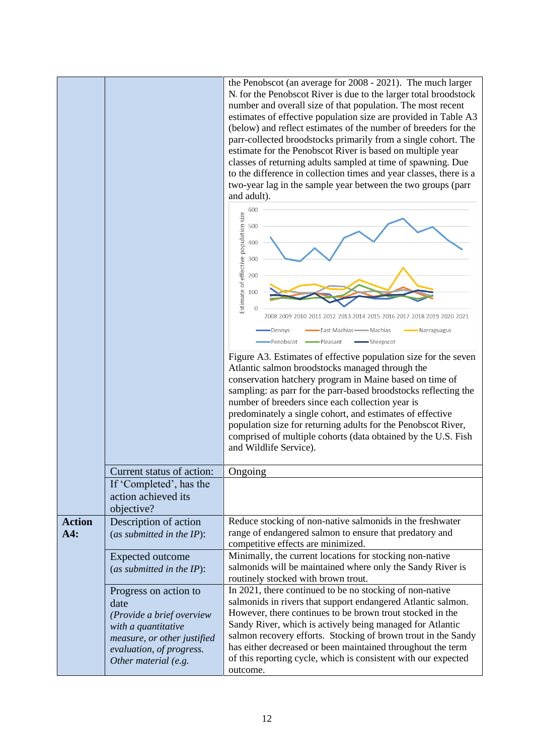|                                    | the Penobscot (an average for 2008 - 2021). The much larger<br>N. for the Penobscot River is due to the larger total broodstock<br>number and overall size of that population. The most recent<br>estimates of effective population size are provided in Table A3<br>(below) and reflect estimates of the number of breeders for the<br>parr-collected broodstocks primarily from a single cohort. The<br>estimate for the Penobscot River is based on multiple year<br>classes of returning adults sampled at time of spawning. Due<br>to the difference in collection times and year classes, there is a<br>two-year lag in the sample year between the two groups (parr<br>and adult).<br>600<br>Estimate of effective population size<br>500<br>400<br>300<br>200<br>100<br>2008 2009<br>2011 2012 2013 2014 2015 2016 2017<br>2018 2019 2020 2021<br>East Machias —— Machias<br>Dennys<br>Narraguagus<br>Penobscot<br>Pleasant<br>Sheepscot<br>Figure A3. Estimates of effective population size for the seven<br>Atlantic salmon broodstocks managed through the<br>conservation hatchery program in Maine based on time of<br>sampling: as parr for the parr-based broodstocks reflecting the<br>number of breeders since each collection year is<br>predominately a single cohort, and estimates of effective<br>population size for returning adults for the Penobscot River,<br>comprised of multiple cohorts (data obtained by the U.S. Fish |                                                                                                                          |
|------------------------------------|---------------------------------------------------------------------------------------------------------------------------------------------------------------------------------------------------------------------------------------------------------------------------------------------------------------------------------------------------------------------------------------------------------------------------------------------------------------------------------------------------------------------------------------------------------------------------------------------------------------------------------------------------------------------------------------------------------------------------------------------------------------------------------------------------------------------------------------------------------------------------------------------------------------------------------------------------------------------------------------------------------------------------------------------------------------------------------------------------------------------------------------------------------------------------------------------------------------------------------------------------------------------------------------------------------------------------------------------------------------------------------------------------------------------------------------------------------|--------------------------------------------------------------------------------------------------------------------------|
| Current status of action:          |                                                                                                                                                                                                                                                                                                                                                                                                                                                                                                                                                                                                                                                                                                                                                                                                                                                                                                                                                                                                                                                                                                                                                                                                                                                                                                                                                                                                                                                         |                                                                                                                          |
| Ongoing<br>If 'Completed', has the |                                                                                                                                                                                                                                                                                                                                                                                                                                                                                                                                                                                                                                                                                                                                                                                                                                                                                                                                                                                                                                                                                                                                                                                                                                                                                                                                                                                                                                                         |                                                                                                                          |
|                                    | action achieved its<br>objective?                                                                                                                                                                                                                                                                                                                                                                                                                                                                                                                                                                                                                                                                                                                                                                                                                                                                                                                                                                                                                                                                                                                                                                                                                                                                                                                                                                                                                       |                                                                                                                          |
| <b>Action</b>                      | Description of action                                                                                                                                                                                                                                                                                                                                                                                                                                                                                                                                                                                                                                                                                                                                                                                                                                                                                                                                                                                                                                                                                                                                                                                                                                                                                                                                                                                                                                   | Reduce stocking of non-native salmonids in the freshwater                                                                |
| A4:                                | (as submitted in the IP):                                                                                                                                                                                                                                                                                                                                                                                                                                                                                                                                                                                                                                                                                                                                                                                                                                                                                                                                                                                                                                                                                                                                                                                                                                                                                                                                                                                                                               | range of endangered salmon to ensure that predatory and<br>competitive effects are minimized.                            |
|                                    | <b>Expected outcome</b>                                                                                                                                                                                                                                                                                                                                                                                                                                                                                                                                                                                                                                                                                                                                                                                                                                                                                                                                                                                                                                                                                                                                                                                                                                                                                                                                                                                                                                 | Minimally, the current locations for stocking non-native                                                                 |
|                                    | (as submitted in the IP):                                                                                                                                                                                                                                                                                                                                                                                                                                                                                                                                                                                                                                                                                                                                                                                                                                                                                                                                                                                                                                                                                                                                                                                                                                                                                                                                                                                                                               | salmonids will be maintained where only the Sandy River is                                                               |
|                                    |                                                                                                                                                                                                                                                                                                                                                                                                                                                                                                                                                                                                                                                                                                                                                                                                                                                                                                                                                                                                                                                                                                                                                                                                                                                                                                                                                                                                                                                         | routinely stocked with brown trout.                                                                                      |
|                                    | Progress on action to<br>date                                                                                                                                                                                                                                                                                                                                                                                                                                                                                                                                                                                                                                                                                                                                                                                                                                                                                                                                                                                                                                                                                                                                                                                                                                                                                                                                                                                                                           | In 2021, there continued to be no stocking of non-native<br>salmonids in rivers that support endangered Atlantic salmon. |
|                                    | (Provide a brief overview                                                                                                                                                                                                                                                                                                                                                                                                                                                                                                                                                                                                                                                                                                                                                                                                                                                                                                                                                                                                                                                                                                                                                                                                                                                                                                                                                                                                                               | However, there continues to be brown trout stocked in the                                                                |
|                                    | with a quantitative                                                                                                                                                                                                                                                                                                                                                                                                                                                                                                                                                                                                                                                                                                                                                                                                                                                                                                                                                                                                                                                                                                                                                                                                                                                                                                                                                                                                                                     | Sandy River, which is actively being managed for Atlantic                                                                |
|                                    | measure, or other justified                                                                                                                                                                                                                                                                                                                                                                                                                                                                                                                                                                                                                                                                                                                                                                                                                                                                                                                                                                                                                                                                                                                                                                                                                                                                                                                                                                                                                             | salmon recovery efforts. Stocking of brown trout in the Sandy                                                            |
|                                    | evaluation, of progress.                                                                                                                                                                                                                                                                                                                                                                                                                                                                                                                                                                                                                                                                                                                                                                                                                                                                                                                                                                                                                                                                                                                                                                                                                                                                                                                                                                                                                                | has either decreased or been maintained throughout the term                                                              |
|                                    | Other material (e.g.                                                                                                                                                                                                                                                                                                                                                                                                                                                                                                                                                                                                                                                                                                                                                                                                                                                                                                                                                                                                                                                                                                                                                                                                                                                                                                                                                                                                                                    | of this reporting cycle, which is consistent with our expected<br>outcome.                                               |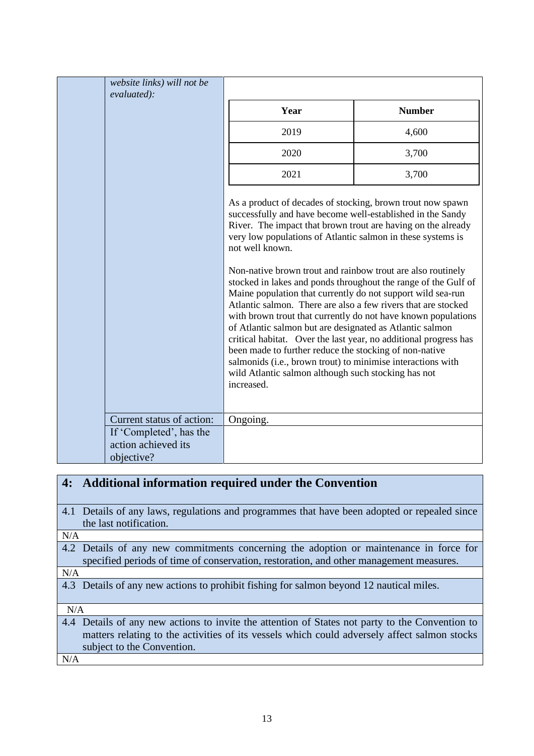| website links) will not be<br>evaluated):                    |                                                                                                                                                                                                                                                                                                                                                                                                                                                                                                                                                                                                                                                                                                                                                                                                                                                                                                                                            |               |
|--------------------------------------------------------------|--------------------------------------------------------------------------------------------------------------------------------------------------------------------------------------------------------------------------------------------------------------------------------------------------------------------------------------------------------------------------------------------------------------------------------------------------------------------------------------------------------------------------------------------------------------------------------------------------------------------------------------------------------------------------------------------------------------------------------------------------------------------------------------------------------------------------------------------------------------------------------------------------------------------------------------------|---------------|
|                                                              | Year                                                                                                                                                                                                                                                                                                                                                                                                                                                                                                                                                                                                                                                                                                                                                                                                                                                                                                                                       | <b>Number</b> |
|                                                              | 2019                                                                                                                                                                                                                                                                                                                                                                                                                                                                                                                                                                                                                                                                                                                                                                                                                                                                                                                                       | 4,600         |
|                                                              | 2020                                                                                                                                                                                                                                                                                                                                                                                                                                                                                                                                                                                                                                                                                                                                                                                                                                                                                                                                       | 3,700         |
|                                                              | 2021                                                                                                                                                                                                                                                                                                                                                                                                                                                                                                                                                                                                                                                                                                                                                                                                                                                                                                                                       | 3,700         |
|                                                              | As a product of decades of stocking, brown trout now spawn<br>successfully and have become well-established in the Sandy<br>River. The impact that brown trout are having on the already<br>very low populations of Atlantic salmon in these systems is<br>not well known.<br>Non-native brown trout and rainbow trout are also routinely<br>stocked in lakes and ponds throughout the range of the Gulf of<br>Maine population that currently do not support wild sea-run<br>Atlantic salmon. There are also a few rivers that are stocked<br>with brown trout that currently do not have known populations<br>of Atlantic salmon but are designated as Atlantic salmon<br>critical habitat. Over the last year, no additional progress has<br>been made to further reduce the stocking of non-native<br>salmonids (i.e., brown trout) to minimise interactions with<br>wild Atlantic salmon although such stocking has not<br>increased. |               |
| Current status of action:                                    | Ongoing.                                                                                                                                                                                                                                                                                                                                                                                                                                                                                                                                                                                                                                                                                                                                                                                                                                                                                                                                   |               |
| If 'Completed', has the<br>action achieved its<br>objective? |                                                                                                                                                                                                                                                                                                                                                                                                                                                                                                                                                                                                                                                                                                                                                                                                                                                                                                                                            |               |

| 4:  | Additional information required under the Convention                                            |
|-----|-------------------------------------------------------------------------------------------------|
|     |                                                                                                 |
|     | 4.1 Details of any laws, regulations and programmes that have been adopted or repealed since    |
|     | the last notification.                                                                          |
| N/A |                                                                                                 |
|     | 4.2 Details of any new commitments concerning the adoption or maintenance in force for          |
|     | specified periods of time of conservation, restoration, and other management measures.          |
| N/A |                                                                                                 |
|     | 4.3 Details of any new actions to prohibit fishing for salmon beyond 12 nautical miles.         |
|     |                                                                                                 |
| N/A |                                                                                                 |
|     | 4.4 Details of any new actions to invite the attention of States not party to the Convention to |
|     | matters relating to the activities of its vessels which could adversely affect salmon stocks    |
|     | subject to the Convention.                                                                      |
| N/A |                                                                                                 |
|     |                                                                                                 |